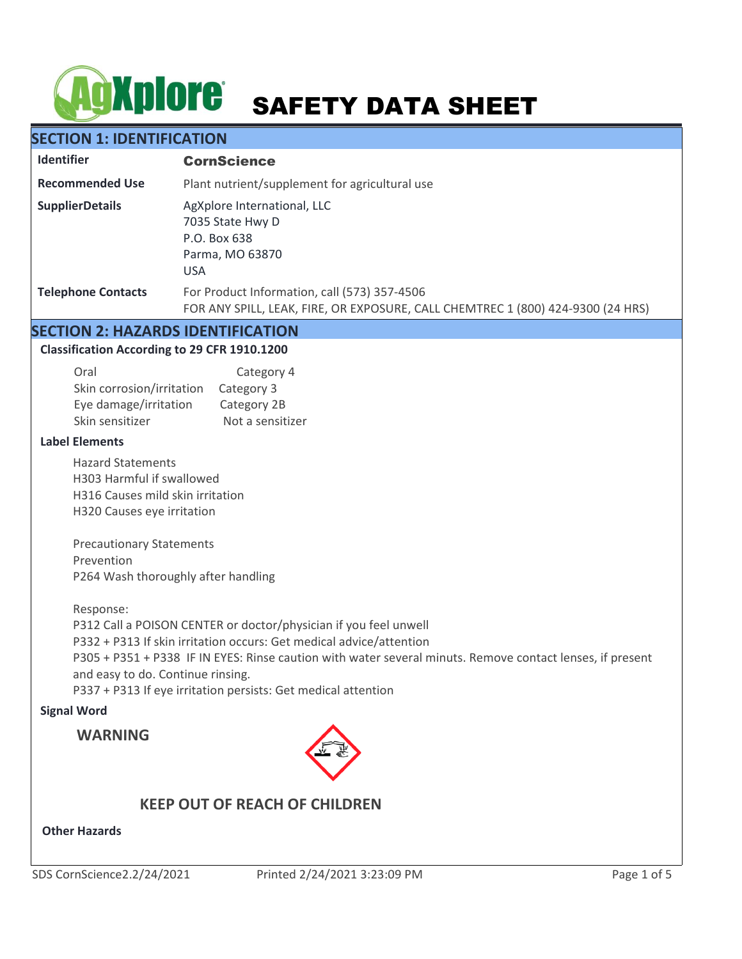# **AgXplore** SAFETY DATA SHEET

# **SECTION 1: IDENTIFICATION**

| <b>Identifier</b>         | <b>CornScience</b>                                                                                                              |
|---------------------------|---------------------------------------------------------------------------------------------------------------------------------|
| <b>Recommended Use</b>    | Plant nutrient/supplement for agricultural use                                                                                  |
| <b>SupplierDetails</b>    | AgXplore International, LLC<br>7035 State Hwy D<br>P.O. Box 638<br>Parma, MO 63870<br><b>USA</b>                                |
| <b>Telephone Contacts</b> | For Product Information, call (573) 357-4506<br>FOR ANY SPILL, LEAK, FIRE, OR EXPOSURE, CALL CHEMTREC 1 (800) 424-9300 (24 HRS) |

# **SECTION 2: HAZARDS IDENTIFICATION**

### **Classification According to 29 CFR 1910.1200**

| Oral                      | Category 4       |
|---------------------------|------------------|
| Skin corrosion/irritation | Category 3       |
| Eye damage/irritation     | Category 2B      |
| Skin sensitizer           | Not a sensitizer |

### **Label Elements**

Hazard Statements H303 Harmful if swallowed H316 Causes mild skin irritation H320 Causes eye irritation

Precautionary Statements Prevention P264 Wash thoroughly after handling

Response:

P312 Call a POISON CENTER or doctor/physician if you feel unwell

P332 + P313 If skin irritation occurs: Get medical advice/attention

P305 + P351 + P338 IF IN EYES: Rinse caution with water several minuts. Remove contact lenses, if present and easy to do. Continue rinsing.

P337 + P313 If eye irritation persists: Get medical attention

### **Signal Word**

# **WARNING**



# **KEEP OUT OF REACH OF CHILDREN**

### **Other Hazards**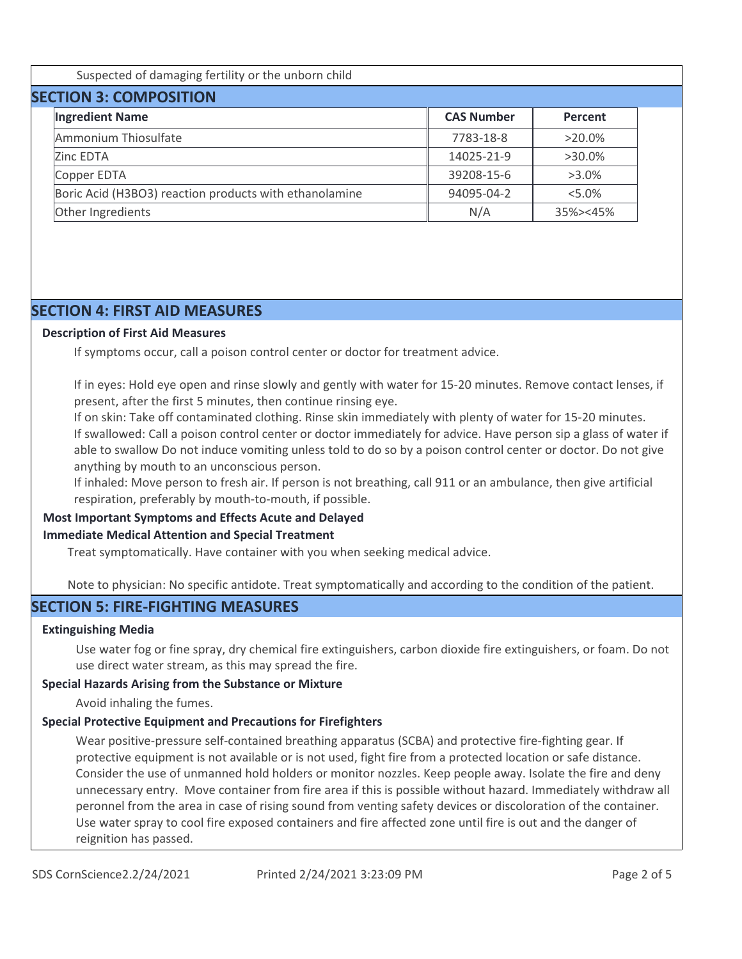Suspected of damaging fertility or the unborn child

| <b>SECTION 3: COMPOSITION</b>                          |                   |           |  |  |  |
|--------------------------------------------------------|-------------------|-----------|--|--|--|
| <b>Ingredient Name</b>                                 | <b>CAS Number</b> | Percent   |  |  |  |
| Ammonium Thiosulfate                                   | 7783-18-8         | $>20.0\%$ |  |  |  |
| Zinc EDTA                                              | 14025-21-9        | $>30.0\%$ |  |  |  |
| Copper EDTA                                            | 39208-15-6        | $>3.0\%$  |  |  |  |
| Boric Acid (H3BO3) reaction products with ethanolamine | 94095-04-2        | $< 5.0\%$ |  |  |  |
| Other Ingredients                                      | N/A               | 35%><45%  |  |  |  |

# **SECTION 4: FIRST AID MEASURES**

### **Description of First Aid Measures**

If symptoms occur, call a poison control center or doctor for treatment advice.

If in eyes: Hold eye open and rinse slowly and gently with water for 15-20 minutes. Remove contact lenses, if present, after the first 5 minutes, then continue rinsing eye.

If on skin: Take off contaminated clothing. Rinse skin immediately with plenty of water for 15-20 minutes. If swallowed: Call a poison control center or doctor immediately for advice. Have person sip a glass of water if able to swallow Do not induce vomiting unless told to do so by a poison control center or doctor. Do not give anything by mouth to an unconscious person.

If inhaled: Move person to fresh air. If person is not breathing, call 911 or an ambulance, then give artificial respiration, preferably by mouth-to-mouth, if possible.

### **Most Important Symptoms and Effects Acute and Delayed**

### **Immediate Medical Attention and Special Treatment**

Treat symptomatically. Have container with you when seeking medical advice.

Note to physician: No specific antidote. Treat symptomatically and according to the condition of the patient.

# **SECTION 5: FIRE-FIGHTING MEASURES**

### **Extinguishing Media**

Use water fog or fine spray, dry chemical fire extinguishers, carbon dioxide fire extinguishers, or foam. Do not use direct water stream, as this may spread the fire.

### **Special Hazards Arising from the Substance or Mixture**

Avoid inhaling the fumes.

# **Special Protective Equipment and Precautions for Firefighters**

Wear positive-pressure self-contained breathing apparatus (SCBA) and protective fire-fighting gear. If protective equipment is not available or is not used, fight fire from a protected location or safe distance. Consider the use of unmanned hold holders or monitor nozzles. Keep people away. Isolate the fire and deny unnecessary entry. Move container from fire area if this is possible without hazard. Immediately withdraw all peronnel from the area in case of rising sound from venting safety devices or discoloration of the container. Use water spray to cool fire exposed containers and fire affected zone until fire is out and the danger of reignition has passed.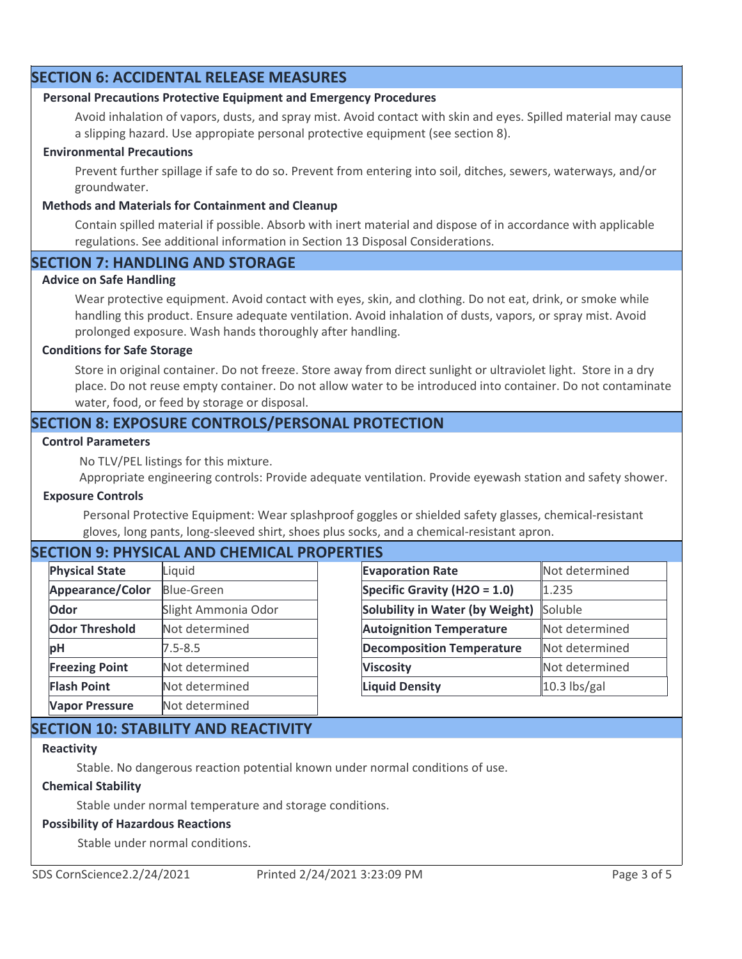# **SECTION 6: ACCIDENTAL RELEASE MEASURES**

### **Personal Precautions Protective Equipment and Emergency Procedures**

Avoid inhalation of vapors, dusts, and spray mist. Avoid contact with skin and eyes. Spilled material may cause a slipping hazard. Use appropiate personal protective equipment (see section 8).

### **Environmental Precautions**

Prevent further spillage if safe to do so. Prevent from entering into soil, ditches, sewers, waterways, and/or groundwater.

### **Methods and Materials for Containment and Cleanup**

Contain spilled material if possible. Absorb with inert material and dispose of in accordance with applicable regulations. See additional information in Section 13 Disposal Considerations.

### **SECTION 7: HANDLING AND STORAGE**

### **Advice on Safe Handling**

Wear protective equipment. Avoid contact with eyes, skin, and clothing. Do not eat, drink, or smoke while handling this product. Ensure adequate ventilation. Avoid inhalation of dusts, vapors, or spray mist. Avoid prolonged exposure. Wash hands thoroughly after handling.

### **Conditions for Safe Storage**

Store in original container. Do not freeze. Store away from direct sunlight or ultraviolet light. Store in a dry place. Do not reuse empty container. Do not allow water to be introduced into container. Do not contaminate water, food, or feed by storage or disposal.

## **SECTION 8: EXPOSURE CONTROLS/PERSONAL PROTECTION**

### **Control Parameters**

No TLV/PEL listings for this mixture.

Appropriate engineering controls: Provide adequate ventilation. Provide eyewash station and safety shower.

### **Exposure Controls**

Personal Protective Equipment: Wear splashproof goggles or shielded safety glasses, chemical-resistant gloves, long pants, long-sleeved shirt, shoes plus socks, and a chemical-resistant apron.

## **SECTION 9: PHYSICAL AND CHEMICAL PROPERTIES**

| <b>Physical State</b> | Liquid              | <b>Evaporation Rate</b>          | Not determined |
|-----------------------|---------------------|----------------------------------|----------------|
| Appearance/Color      | Blue-Green          | Specific Gravity (H2O = $1.0$ )  | 1.235          |
| Odor                  | Slight Ammonia Odor | Solubility in Water (by Weight)  | Soluble        |
| <b>Odor Threshold</b> | Not determined      | <b>Autoignition Temperature</b>  | Not determined |
| ΙpΗ                   | $7.5 - 8.5$         | <b>Decomposition Temperature</b> | Not determined |
| <b>Freezing Point</b> | Not determined      | <b>Viscosity</b>                 | Not determined |
| <b>Flash Point</b>    | Not determined      | <b>Liquid Density</b>            | $10.3$ lbs/gal |
| <b>Vapor Pressure</b> | Not determined      |                                  |                |

# **SECTION 10: STABILITY AND REACTIVITY**

### **Reactivity**

Stable. No dangerous reaction potential known under normal conditions of use.

### **Chemical Stability**

Stable under normal temperature and storage conditions.

### **Possibility of Hazardous Reactions**

Stable under normal conditions.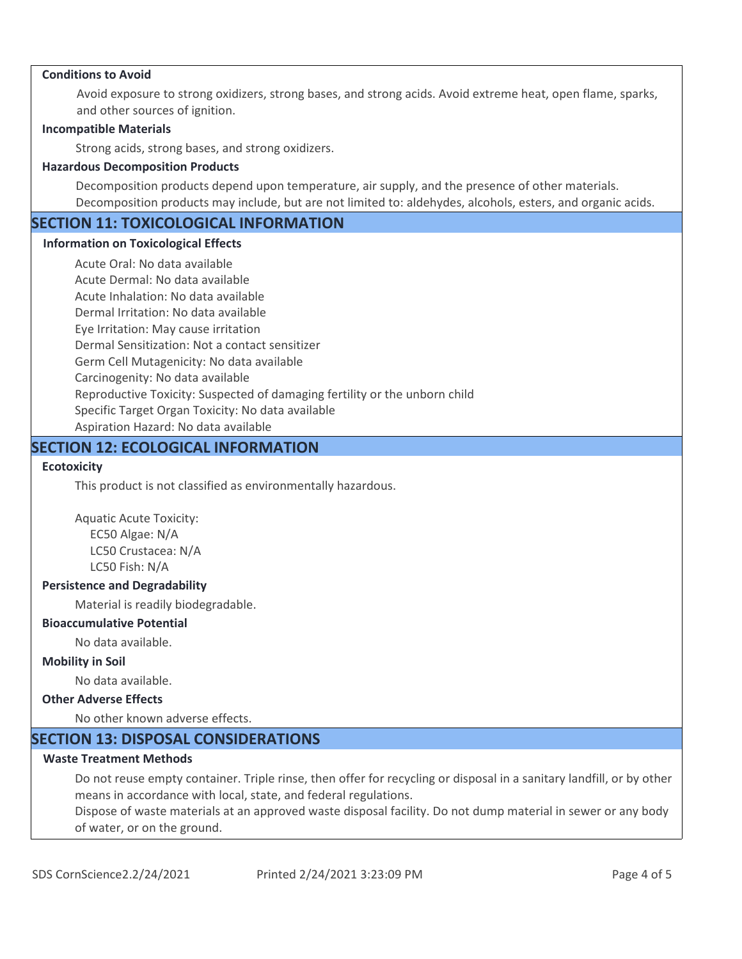### **Conditions to Avoid**

Avoid exposure to strong oxidizers, strong bases, and strong acids. Avoid extreme heat, open flame, sparks, and other sources of ignition.

### **Incompatible Materials**

Strong acids, strong bases, and strong oxidizers.

#### **Hazardous Decomposition Products**

Decomposition products depend upon temperature, air supply, and the presence of other materials. Decomposition products may include, but are not limited to: aldehydes, alcohols, esters, and organic acids.

### **SECTION 11: TOXICOLOGICAL INFORMATION**

### **Information on Toxicological Effects**

Acute Oral: No data available Acute Dermal: No data available Acute Inhalation: No data available Dermal Irritation: No data available Eye Irritation: May cause irritation Dermal Sensitization: Not a contact sensitizer Germ Cell Mutagenicity: No data available Carcinogenity: No data available Reproductive Toxicity: Suspected of damaging fertility or the unborn child Specific Target Organ Toxicity: No data available Aspiration Hazard: No data available

## **SECTION 12: ECOLOGICAL INFORMATION**

### **Ecotoxicity**

This product is not classified as environmentally hazardous.

Aquatic Acute Toxicity: EC50 Algae: N/A LC50 Crustacea: N/A LC50 Fish: N/A

### **Persistence and Degradability**

Material is readily biodegradable.

### **Bioaccumulative Potential**

No data available.

### **Mobility in Soil**

No data available.

### **Other Adverse Effects**

No other known adverse effects.

## **SECTION 13: DISPOSAL CONSIDERATIONS**

### **Waste Treatment Methods**

Do not reuse empty container. Triple rinse, then offer for recycling or disposal in a sanitary landfill, or by other means in accordance with local, state, and federal regulations.

Dispose of waste materials at an approved waste disposal facility. Do not dump material in sewer or any body of water, or on the ground.